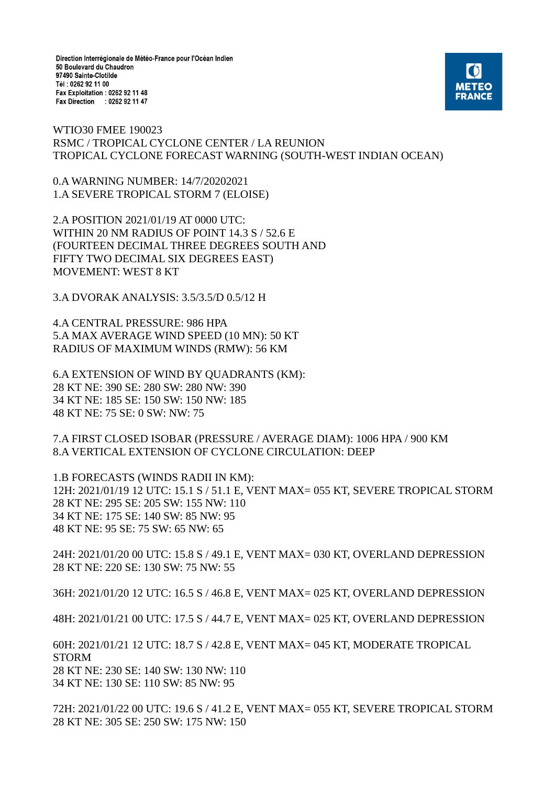Direction Interrégionale de Météo-France pour l'Océan Indien 50 Boulevard du Chaudron 97490 Sainte-Clotilde Tél: 0262 92 11 00 Fax Exploitation : 0262 92 11 48 Fax Direction : 0262 92 11 47



WTIO30 FMEE 190023 RSMC / TROPICAL CYCLONE CENTER / LA REUNION TROPICAL CYCLONE FORECAST WARNING (SOUTH-WEST INDIAN OCEAN)

0.A WARNING NUMBER: 14/7/20202021 1.A SEVERE TROPICAL STORM 7 (ELOISE)

2.A POSITION 2021/01/19 AT 0000 UTC: WITHIN 20 NM RADIUS OF POINT 14.3 S / 52.6 E (FOURTEEN DECIMAL THREE DEGREES SOUTH AND FIFTY TWO DECIMAL SIX DEGREES EAST) MOVEMENT: WEST 8 KT

3.A DVORAK ANALYSIS: 3.5/3.5/D 0.5/12 H

4.A CENTRAL PRESSURE: 986 HPA 5.A MAX AVERAGE WIND SPEED (10 MN): 50 KT RADIUS OF MAXIMUM WINDS (RMW): 56 KM

6.A EXTENSION OF WIND BY QUADRANTS (KM): 28 KT NE: 390 SE: 280 SW: 280 NW: 390 34 KT NE: 185 SE: 150 SW: 150 NW: 185 48 KT NE: 75 SE: 0 SW: NW: 75

7.A FIRST CLOSED ISOBAR (PRESSURE / AVERAGE DIAM): 1006 HPA / 900 KM 8.A VERTICAL EXTENSION OF CYCLONE CIRCULATION: DEEP

1.B FORECASTS (WINDS RADII IN KM): 12H: 2021/01/19 12 UTC: 15.1 S / 51.1 E, VENT MAX= 055 KT, SEVERE TROPICAL STORM 28 KT NE: 295 SE: 205 SW: 155 NW: 110 34 KT NE: 175 SE: 140 SW: 85 NW: 95 48 KT NE: 95 SE: 75 SW: 65 NW: 65

24H: 2021/01/20 00 UTC: 15.8 S / 49.1 E, VENT MAX= 030 KT, OVERLAND DEPRESSION 28 KT NE: 220 SE: 130 SW: 75 NW: 55

36H: 2021/01/20 12 UTC: 16.5 S / 46.8 E, VENT MAX= 025 KT, OVERLAND DEPRESSION

48H: 2021/01/21 00 UTC: 17.5 S / 44.7 E, VENT MAX= 025 KT, OVERLAND DEPRESSION

60H: 2021/01/21 12 UTC: 18.7 S / 42.8 E, VENT MAX= 045 KT, MODERATE TROPICAL STORM 28 KT NE: 230 SE: 140 SW: 130 NW: 110 34 KT NE: 130 SE: 110 SW: 85 NW: 95

72H: 2021/01/22 00 UTC: 19.6 S / 41.2 E, VENT MAX= 055 KT, SEVERE TROPICAL STORM 28 KT NE: 305 SE: 250 SW: 175 NW: 150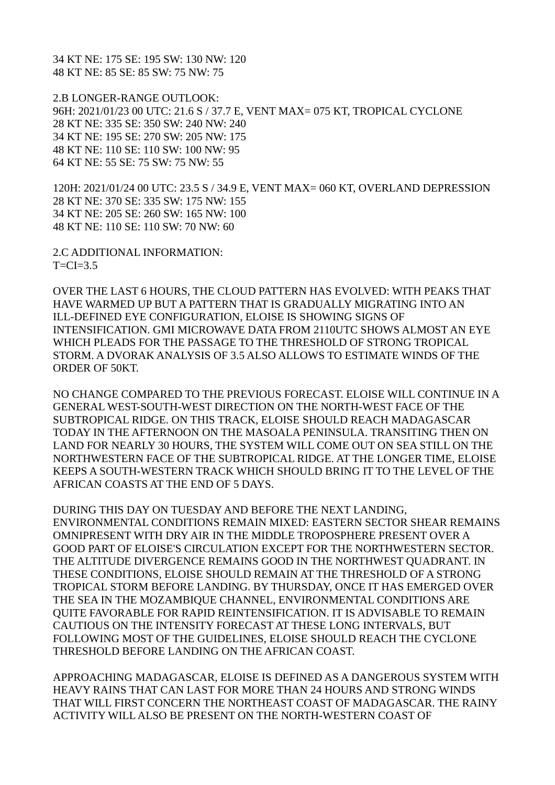34 KT NE: 175 SE: 195 SW: 130 NW: 120 48 KT NE: 85 SE: 85 SW: 75 NW: 75

2.B LONGER-RANGE OUTLOOK: 96H: 2021/01/23 00 UTC: 21.6 S / 37.7 E, VENT MAX= 075 KT, TROPICAL CYCLONE 28 KT NE: 335 SE: 350 SW: 240 NW: 240 34 KT NE: 195 SE: 270 SW: 205 NW: 175 48 KT NE: 110 SE: 110 SW: 100 NW: 95 64 KT NE: 55 SE: 75 SW: 75 NW: 55

120H: 2021/01/24 00 UTC: 23.5 S / 34.9 E, VENT MAX= 060 KT, OVERLAND DEPRESSION 28 KT NE: 370 SE: 335 SW: 175 NW: 155 34 KT NE: 205 SE: 260 SW: 165 NW: 100 48 KT NE: 110 SE: 110 SW: 70 NW: 60

2.C ADDITIONAL INFORMATION:  $T=CI=3.5$ 

OVER THE LAST 6 HOURS, THE CLOUD PATTERN HAS EVOLVED: WITH PEAKS THAT HAVE WARMED UP BUT A PATTERN THAT IS GRADUALLY MIGRATING INTO AN ILL-DEFINED EYE CONFIGURATION, ELOISE IS SHOWING SIGNS OF INTENSIFICATION. GMI MICROWAVE DATA FROM 2110UTC SHOWS ALMOST AN EYE WHICH PLEADS FOR THE PASSAGE TO THE THRESHOLD OF STRONG TROPICAL STORM. A DVORAK ANALYSIS OF 3.5 ALSO ALLOWS TO ESTIMATE WINDS OF THE ORDER OF 50KT.

NO CHANGE COMPARED TO THE PREVIOUS FORECAST. ELOISE WILL CONTINUE IN A GENERAL WEST-SOUTH-WEST DIRECTION ON THE NORTH-WEST FACE OF THE SUBTROPICAL RIDGE. ON THIS TRACK, ELOISE SHOULD REACH MADAGASCAR TODAY IN THE AFTERNOON ON THE MASOALA PENINSULA. TRANSITING THEN ON LAND FOR NEARLY 30 HOURS, THE SYSTEM WILL COME OUT ON SEA STILL ON THE NORTHWESTERN FACE OF THE SUBTROPICAL RIDGE. AT THE LONGER TIME, ELOISE KEEPS A SOUTH-WESTERN TRACK WHICH SHOULD BRING IT TO THE LEVEL OF THE AFRICAN COASTS AT THE END OF 5 DAYS.

DURING THIS DAY ON TUESDAY AND BEFORE THE NEXT LANDING, ENVIRONMENTAL CONDITIONS REMAIN MIXED: EASTERN SECTOR SHEAR REMAINS OMNIPRESENT WITH DRY AIR IN THE MIDDLE TROPOSPHERE PRESENT OVER A GOOD PART OF ELOISE'S CIRCULATION EXCEPT FOR THE NORTHWESTERN SECTOR. THE ALTITUDE DIVERGENCE REMAINS GOOD IN THE NORTHWEST QUADRANT. IN THESE CONDITIONS, ELOISE SHOULD REMAIN AT THE THRESHOLD OF A STRONG TROPICAL STORM BEFORE LANDING. BY THURSDAY, ONCE IT HAS EMERGED OVER THE SEA IN THE MOZAMBIQUE CHANNEL, ENVIRONMENTAL CONDITIONS ARE QUITE FAVORABLE FOR RAPID REINTENSIFICATION. IT IS ADVISABLE TO REMAIN CAUTIOUS ON THE INTENSITY FORECAST AT THESE LONG INTERVALS, BUT FOLLOWING MOST OF THE GUIDELINES, ELOISE SHOULD REACH THE CYCLONE THRESHOLD BEFORE LANDING ON THE AFRICAN COAST.

APPROACHING MADAGASCAR, ELOISE IS DEFINED AS A DANGEROUS SYSTEM WITH HEAVY RAINS THAT CAN LAST FOR MORE THAN 24 HOURS AND STRONG WINDS THAT WILL FIRST CONCERN THE NORTHEAST COAST OF MADAGASCAR. THE RAINY ACTIVITY WILL ALSO BE PRESENT ON THE NORTH-WESTERN COAST OF